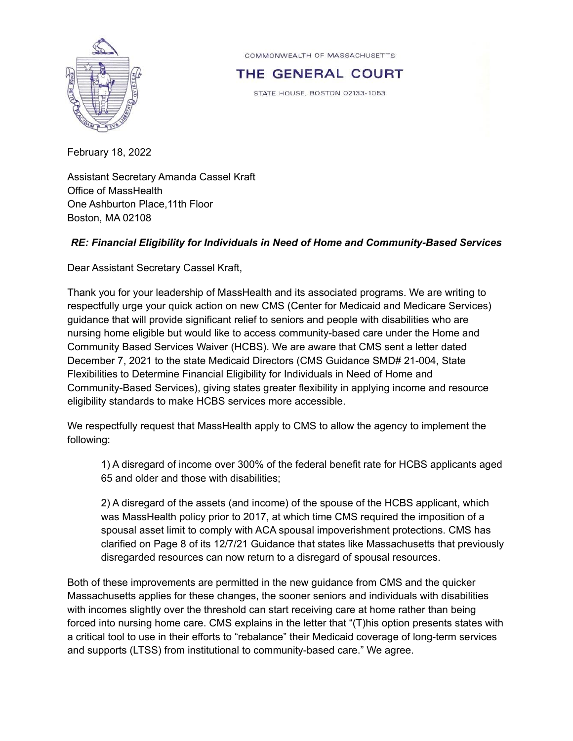

COMMONWEALTH OF MASSACHUSETTS

THE GENERAL COURT

STATE HOUSE, BOSTON 02133-1053

February 18, 2022

Assistant Secretary Amanda Cassel Kraft Office of MassHealth One Ashburton Place,11th Floor Boston, MA 02108

## *RE: Financial Eligibility for Individuals in Need of Home and Community-Based Services*

Dear Assistant Secretary Cassel Kraft,

Thank you for your leadership of MassHealth and its associated programs. We are writing to respectfully urge your quick action on new CMS (Center for Medicaid and Medicare Services) guidance that will provide significant relief to seniors and people with disabilities who are nursing home eligible but would like to access community-based care under the Home and Community Based Services Waiver (HCBS). We are aware that CMS sent a letter dated December 7, 2021 to the state Medicaid Directors (CMS Guidance SMD# 21-004, State Flexibilities to Determine Financial Eligibility for Individuals in Need of Home and Community-Based Services), giving states greater flexibility in applying income and resource eligibility standards to make HCBS services more accessible.

We respectfully request that MassHealth apply to CMS to allow the agency to implement the following:

1) A disregard of income over 300% of the federal benefit rate for HCBS applicants aged 65 and older and those with disabilities;

2) A disregard of the assets (and income) of the spouse of the HCBS applicant, which was MassHealth policy prior to 2017, at which time CMS required the imposition of a spousal asset limit to comply with ACA spousal impoverishment protections. CMS has clarified on Page 8 of its 12/7/21 Guidance that states like Massachusetts that previously disregarded resources can now return to a disregard of spousal resources.

Both of these improvements are permitted in the new guidance from CMS and the quicker Massachusetts applies for these changes, the sooner seniors and individuals with disabilities with incomes slightly over the threshold can start receiving care at home rather than being forced into nursing home care. CMS explains in the letter that "(T)his option presents states with a critical tool to use in their efforts to "rebalance" their Medicaid coverage of long-term services and supports (LTSS) from institutional to community-based care." We agree.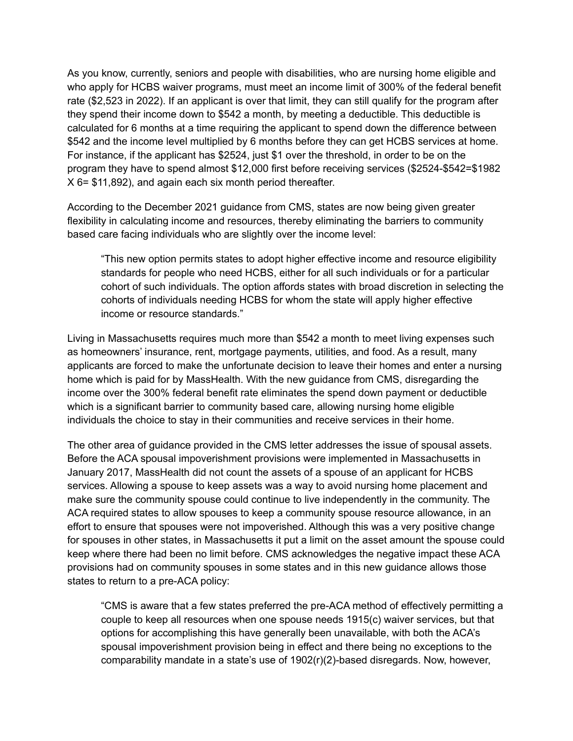As you know, currently, seniors and people with disabilities, who are nursing home eligible and who apply for HCBS waiver programs, must meet an income limit of 300% of the federal benefit rate (\$2,523 in 2022). If an applicant is over that limit, they can still qualify for the program after they spend their income down to \$542 a month, by meeting a deductible. This deductible is calculated for 6 months at a time requiring the applicant to spend down the difference between \$542 and the income level multiplied by 6 months before they can get HCBS services at home. For instance, if the applicant has \$2524, just \$1 over the threshold, in order to be on the program they have to spend almost \$12,000 first before receiving services (\$2524-\$542=\$1982 X 6= \$11,892), and again each six month period thereafter.

According to the December 2021 guidance from CMS, states are now being given greater flexibility in calculating income and resources, thereby eliminating the barriers to community based care facing individuals who are slightly over the income level:

"This new option permits states to adopt higher effective income and resource eligibility standards for people who need HCBS, either for all such individuals or for a particular cohort of such individuals. The option affords states with broad discretion in selecting the cohorts of individuals needing HCBS for whom the state will apply higher effective income or resource standards."

Living in Massachusetts requires much more than \$542 a month to meet living expenses such as homeowners' insurance, rent, mortgage payments, utilities, and food. As a result, many applicants are forced to make the unfortunate decision to leave their homes and enter a nursing home which is paid for by MassHealth. With the new guidance from CMS, disregarding the income over the 300% federal benefit rate eliminates the spend down payment or deductible which is a significant barrier to community based care, allowing nursing home eligible individuals the choice to stay in their communities and receive services in their home.

The other area of guidance provided in the CMS letter addresses the issue of spousal assets. Before the ACA spousal impoverishment provisions were implemented in Massachusetts in January 2017, MassHealth did not count the assets of a spouse of an applicant for HCBS services. Allowing a spouse to keep assets was a way to avoid nursing home placement and make sure the community spouse could continue to live independently in the community. The ACA required states to allow spouses to keep a community spouse resource allowance, in an effort to ensure that spouses were not impoverished. Although this was a very positive change for spouses in other states, in Massachusetts it put a limit on the asset amount the spouse could keep where there had been no limit before. CMS acknowledges the negative impact these ACA provisions had on community spouses in some states and in this new guidance allows those states to return to a pre-ACA policy:

"CMS is aware that a few states preferred the pre-ACA method of effectively permitting a couple to keep all resources when one spouse needs 1915(c) waiver services, but that options for accomplishing this have generally been unavailable, with both the ACA's spousal impoverishment provision being in effect and there being no exceptions to the comparability mandate in a state's use of 1902(r)(2)-based disregards. Now, however,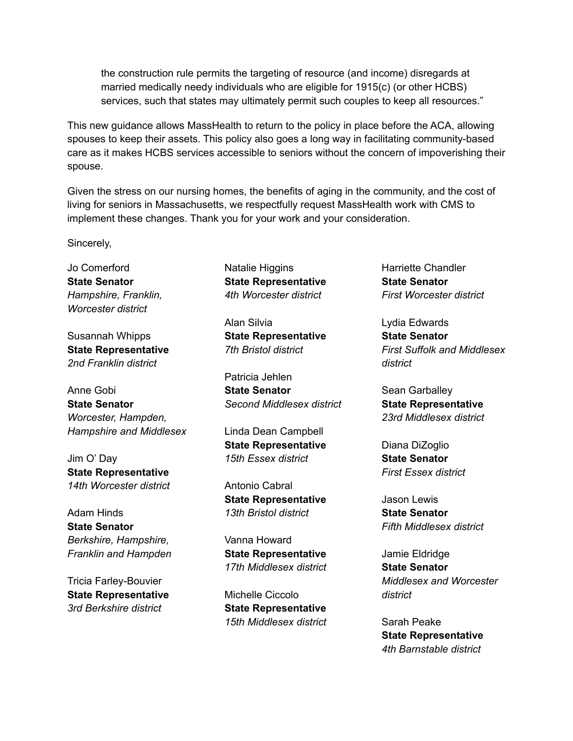the construction rule permits the targeting of resource (and income) disregards at married medically needy individuals who are eligible for 1915(c) (or other HCBS) services, such that states may ultimately permit such couples to keep all resources."

This new guidance allows MassHealth to return to the policy in place before the ACA, allowing spouses to keep their assets. This policy also goes a long way in facilitating community-based care as it makes HCBS services accessible to seniors without the concern of impoverishing their spouse.

Given the stress on our nursing homes, the benefits of aging in the community, and the cost of living for seniors in Massachusetts, we respectfully request MassHealth work with CMS to implement these changes. Thank you for your work and your consideration.

Sincerely,

Jo Comerford **State Senator** *Hampshire, Franklin, Worcester district*

Susannah Whipps **State Representative** *2nd Franklin district*

Anne Gobi **State Senator** *Worcester, Hampden, Hampshire and Middlesex*

Jim O' Day **State Representative** *14th Worcester district*

Adam Hinds **State Senator** *Berkshire, Hampshire, Franklin and Hampden*

Tricia Farley-Bouvier **State Representative** *3rd Berkshire district*

Natalie Higgins **State Representative** *4th Worcester district*

Alan Silvia **State Representative** *7th Bristol district*

Patricia Jehlen **State Senator** *Second Middlesex district*

Linda Dean Campbell **State Representative** *15th Essex district*

Antonio Cabral **State Representative** *13th Bristol district*

Vanna Howard **State Representative** *17th Middlesex district*

Michelle Ciccolo **State Representative** *15th Middlesex district* Harriette Chandler **State Senator** *First Worcester district*

Lydia Edwards **State Senator** *First Suffolk and Middlesex district*

Sean Garballey **State Representative** *23rd Middlesex district*

Diana DiZoglio **State Senator** *First Essex district*

Jason Lewis **State Senator** *Fifth Middlesex district*

Jamie Eldridge **State Senator** *Middlesex and Worcester district*

Sarah Peake **State Representative** *4th Barnstable district*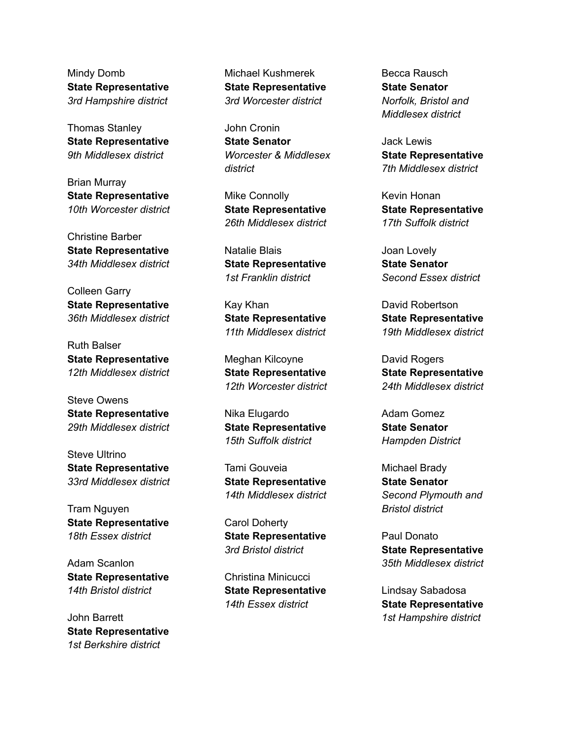Mindy Domb **State Representative** *3rd Hampshire district*

Thomas Stanley **State Representative** *9th Middlesex district*

Brian Murray **State Representative** *10th Worcester district*

Christine Barber **State Representative** *34th Middlesex district*

Colleen Garry **State Representative** *36th Middlesex district*

Ruth Balser **State Representative** *12th Middlesex district*

Steve Owens **State Representative** *29th Middlesex district*

Steve Ultrino **State Representative** *33rd Middlesex district*

Tram Nguyen **State Representative** *18th Essex district*

Adam Scanlon **State Representative** *14th Bristol district*

John Barrett **State Representative** *1st Berkshire district*

Michael Kushmerek **State Representative** *3rd Worcester district*

John Cronin **State Senator** *Worcester & Middlesex district*

Mike Connolly **State Representative** *26th Middlesex district*

Natalie Blais **State Representative** *1st Franklin district*

Kay Khan **State Representative** *11th Middlesex district*

Meghan Kilcoyne **State Representative** *12th Worcester district*

Nika Elugardo **State Representative** *15th Suffolk district*

Tami Gouveia **State Representative** *14th Middlesex district*

Carol Doherty **State Representative** *3rd Bristol district*

Christina Minicucci **State Representative** *14th Essex district*

Becca Rausch **State Senator** *Norfolk, Bristol and Middlesex district*

Jack Lewis **State Representative** *7th Middlesex district*

Kevin Honan **State Representative** *17th Suffolk district*

Joan Lovely **State Senator** *Second Essex district*

David Robertson **State Representative** *19th Middlesex district*

David Rogers **State Representative** *24th Middlesex district*

Adam Gomez **State Senator** *Hampden District*

Michael Brady **State Senator** *Second Plymouth and Bristol district*

Paul Donato **State Representative** *35th Middlesex district*

Lindsay Sabadosa **State Representative** *1st Hampshire district*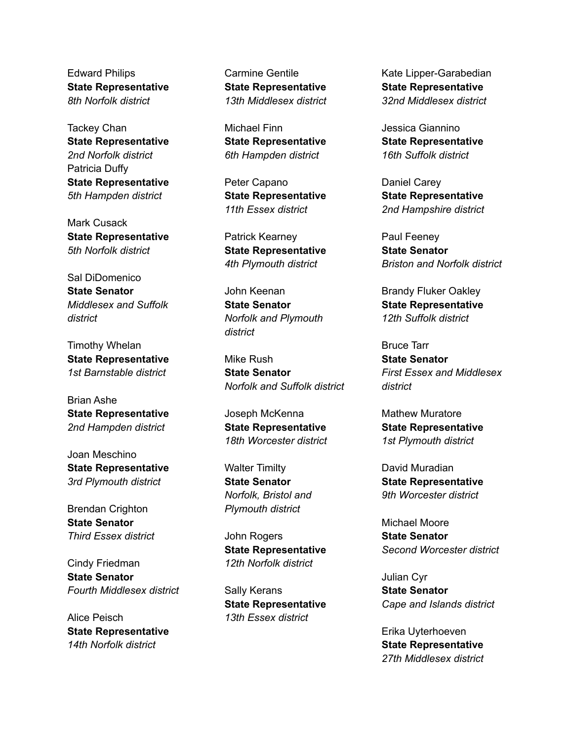Edward Philips **State Representative** *8th Norfolk district*

Tackey Chan **State Representative** *2nd Norfolk district* Patricia Duffy **State Representative** *5th Hampden district*

Mark Cusack **State Representative** *5th Norfolk district*

Sal DiDomenico **State Senator** *Middlesex and Suffolk district*

Timothy Whelan **State Representative** *1st Barnstable district*

Brian Ashe **State Representative** *2nd Hampden district*

Joan Meschino **State Representative** *3rd Plymouth district*

Brendan Crighton **State Senator** *Third Essex district*

Cindy Friedman **State Senator** *Fourth Middlesex district*

Alice Peisch **State Representative** *14th Norfolk district*

Carmine Gentile **State Representative** *13th Middlesex district*

Michael Finn **State Representative** *6th Hampden district*

Peter Capano **State Representative** *11th Essex district*

Patrick Kearney **State Representative** *4th Plymouth district*

John Keenan **State Senator** *Norfolk and Plymouth district*

Mike Rush **State Senator** *Norfolk and Suffolk district*

Joseph McKenna **State Representative** *18th Worcester district*

Walter Timilty **State Senator** *Norfolk, Bristol and Plymouth district*

John Rogers **State Representative** *12th Norfolk district*

Sally Kerans **State Representative** *13th Essex district*

Kate Lipper-Garabedian **State Representative** *32nd Middlesex district*

Jessica Giannino **State Representative** *16th Suffolk district*

Daniel Carey **State Representative** *2nd Hampshire district*

Paul Feeney **State Senator** *Briston and Norfolk district*

Brandy Fluker Oakley **State Representative** *12th Suffolk district*

Bruce Tarr **State Senator** *First Essex and Middlesex district*

Mathew Muratore **State Representative** *1st Plymouth district*

David Muradian **State Representative** *9th Worcester district*

Michael Moore **State Senator** *Second Worcester district*

Julian Cyr **State Senator** *Cape and Islands district*

Erika Uyterhoeven **State Representative** *27th Middlesex district*